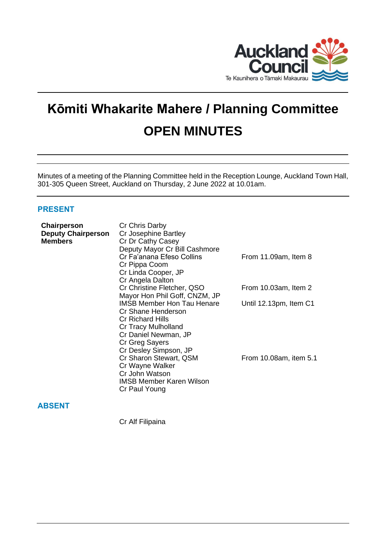

# **Kōmiti Whakarite Mahere / Planning Committee OPEN MINUTES**

Minutes of a meeting of the Planning Committee held in the Reception Lounge, Auckland Town Hall, 301-305 Queen Street, Auckland on Thursday, 2 June 2022 at 10.01am.

# **PRESENT**

| Chairperson<br><b>Deputy Chairperson</b><br><b>Members</b> | Cr Chris Darby<br>Cr Josephine Bartley<br>Cr Dr Cathy Casey<br>Deputy Mayor Cr Bill Cashmore                                                                                 |                        |
|------------------------------------------------------------|------------------------------------------------------------------------------------------------------------------------------------------------------------------------------|------------------------|
|                                                            | Cr Fa'anana Efeso Collins<br>Cr Pippa Coom<br>Cr Linda Cooper, JP<br>Cr Angela Dalton                                                                                        | From 11.09am, Item 8   |
|                                                            | Cr Christine Fletcher, QSO<br>Mayor Hon Phil Goff, CNZM, JP                                                                                                                  | From 10.03am, Item 2   |
|                                                            | <b>IMSB Member Hon Tau Henare</b><br>Cr Shane Henderson<br><b>Cr Richard Hills</b><br>Cr Tracy Mulholland<br>Cr Daniel Newman, JP<br>Cr Greg Sayers<br>Cr Desley Simpson, JP | Until 12.13pm, Item C1 |
|                                                            | Cr Sharon Stewart, QSM<br>Cr Wayne Walker<br>Cr John Watson<br><b>IMSB Member Karen Wilson</b><br>Cr Paul Young                                                              | From 10.08am, item 5.1 |

**ABSENT**

Cr Alf Filipaina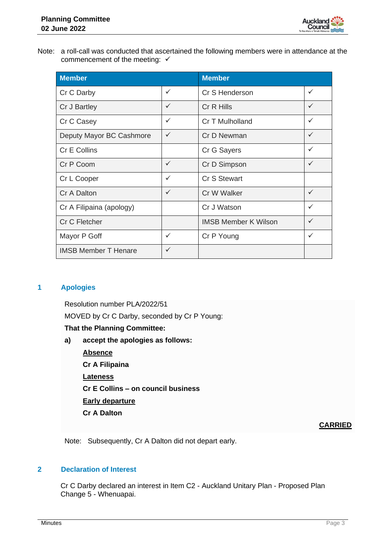

Note: a roll-call was conducted that ascertained the following members were in attendance at the commencement of the meeting: √

| <b>Member</b>               |              | <b>Member</b>               |              |
|-----------------------------|--------------|-----------------------------|--------------|
| Cr C Darby                  | ✓            | Cr S Henderson              | $\checkmark$ |
| Cr J Bartley                | $\checkmark$ | Cr R Hills                  | $\checkmark$ |
| Cr C Casey                  | ✓            | Cr T Mulholland             | $\checkmark$ |
| Deputy Mayor BC Cashmore    | $\checkmark$ | Cr D Newman                 | $\checkmark$ |
| Cr E Collins                |              | Cr G Sayers                 | $\checkmark$ |
| Cr P Coom                   | $\checkmark$ | Cr D Simpson                | $\checkmark$ |
| Cr L Cooper                 | ✓            | Cr S Stewart                |              |
| Cr A Dalton                 | $\checkmark$ | Cr W Walker                 | $\checkmark$ |
| Cr A Filipaina (apology)    |              | Cr J Watson                 | $\checkmark$ |
| Cr C Fletcher               |              | <b>IMSB Member K Wilson</b> | $\checkmark$ |
| Mayor P Goff                | ✓            | Cr P Young                  | $\checkmark$ |
| <b>IMSB Member T Henare</b> | ✓            |                             |              |

# **1 Apologies**

Resolution number PLA/2022/51 MOVED by Cr C Darby, seconded by Cr P Young: **That the Planning Committee: a) accept the apologies as follows:** 

**Absence Cr A Filipaina Lateness Cr E Collins – on council business Early departure Cr A Dalton**

**CARRIED**

Note: Subsequently, Cr A Dalton did not depart early.

# **2 Declaration of Interest**

Cr C Darby declared an interest in Item C2 - Auckland Unitary Plan - Proposed Plan Change 5 - Whenuapai.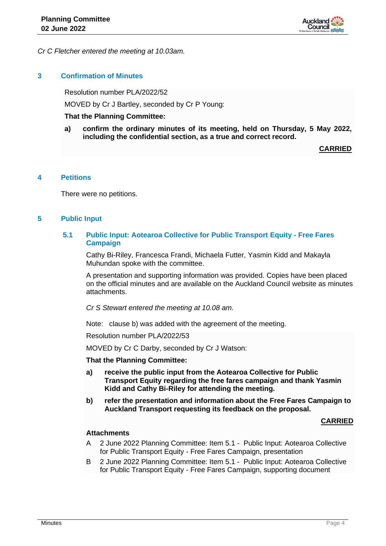

*Cr C Fletcher entered the meeting at 10.03am.*

## **3 Confirmation of Minutes**

Resolution number PLA/2022/52

MOVED by Cr J Bartley, seconded by Cr P Young:

# **That the Planning Committee:**

**a) confirm the ordinary minutes of its meeting, held on Thursday, 5 May 2022, including the confidential section, as a true and correct record.**

**CARRIED**

## **4 Petitions**

There were no petitions.

# **5 Public Input**

## **5.1 Public Input: Aotearoa Collective for Public Transport Equity - Free Fares Campaign**

Cathy Bi-Riley, Francesca Frandi, Michaela Futter, Yasmin Kidd and Makayla Muhundan spoke with the committee.

A presentation and supporting information was provided. Copies have been placed on the official minutes and are available on the Auckland Council website as minutes attachments.

*Cr S Stewart entered the meeting at 10.08 am.*

Note: clause b) was added with the agreement of the meeting.

Resolution number PLA/2022/53

MOVED by Cr C Darby, seconded by Cr J Watson:

**That the Planning Committee:**

- **a) receive the public input from the Aotearoa Collective for Public Transport Equity regarding the free fares campaign and thank Yasmin Kidd and Cathy Bi-Riley for attending the meeting.**
- **b) refer the presentation and information about the Free Fares Campaign to Auckland Transport requesting its feedback on the proposal.**

#### **CARRIED**

#### **Attachments**

- A 2 June 2022 Planning Committee: Item 5.1 Public Input: Aotearoa Collective for Public Transport Equity - Free Fares Campaign, presentation
- B 2 June 2022 Planning Committee: Item 5.1 Public Input: Aotearoa Collective for Public Transport Equity - Free Fares Campaign, supporting document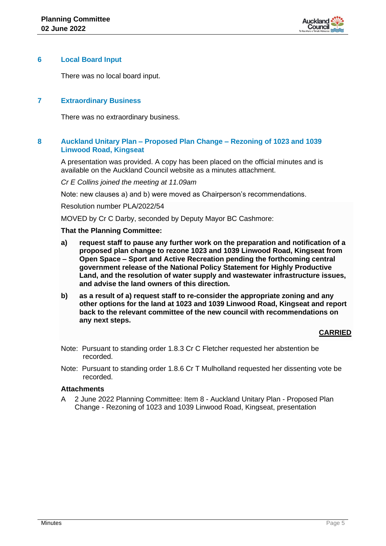

## **6 Local Board Input**

There was no local board input.

# **7 Extraordinary Business**

There was no extraordinary business.

# **8 Auckland Unitary Plan – Proposed Plan Change – Rezoning of 1023 and 1039 Linwood Road, Kingseat**

A presentation was provided. A copy has been placed on the official minutes and is available on the Auckland Council website as a minutes attachment.

*Cr E Collins joined the meeting at 11.09am* 

Note: new clauses a) and b) were moved as Chairperson's recommendations.

Resolution number PLA/2022/54

MOVED by Cr C Darby, seconded by Deputy Mayor BC Cashmore:

#### **That the Planning Committee:**

- **a) request staff to pause any further work on the preparation and notification of a proposed plan change to rezone 1023 and 1039 Linwood Road, Kingseat from Open Space – Sport and Active Recreation pending the forthcoming central government release of the National Policy Statement for Highly Productive Land, and the resolution of water supply and wastewater infrastructure issues, and advise the land owners of this direction.**
- **b) as a result of a) request staff to re-consider the appropriate zoning and any other options for the land at 1023 and 1039 Linwood Road, Kingseat and report back to the relevant committee of the new council with recommendations on any next steps.**

#### **CARRIED**

- Note: Pursuant to standing order 1.8.3 Cr C Fletcher requested her abstention be recorded.
- Note: Pursuant to standing order 1.8.6 Cr T Mulholland requested her dissenting vote be recorded.

# **Attachments**

A 2 June 2022 Planning Committee: Item 8 - Auckland Unitary Plan - Proposed Plan Change - Rezoning of 1023 and 1039 Linwood Road, Kingseat, presentation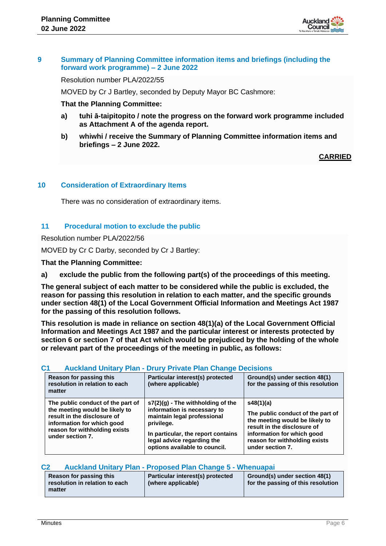

## **9 Summary of Planning Committee information items and briefings (including the forward work programme) – 2 June 2022**

Resolution number PLA/2022/55

MOVED by Cr J Bartley, seconded by Deputy Mayor BC Cashmore:

#### **That the Planning Committee:**

- **a) tuhi ā-taipitopito / note the progress on the forward work programme included as Attachment A of the agenda report.**
- **b) whiwhi / receive the Summary of Planning Committee information items and briefings – 2 June 2022.**

**CARRIED**

## **10 Consideration of Extraordinary Items**

There was no consideration of extraordinary items.

## **11 Procedural motion to exclude the public**

Resolution number PLA/2022/56

MOVED by Cr C Darby, seconded by Cr J Bartley:

**That the Planning Committee:**

**a) exclude the public from the following part(s) of the proceedings of this meeting.**

**The general subject of each matter to be considered while the public is excluded, the reason for passing this resolution in relation to each matter, and the specific grounds under section 48(1) of the Local Government Official Information and Meetings Act 1987 for the passing of this resolution follows.**

**This resolution is made in reliance on section 48(1)(a) of the Local Government Official Information and Meetings Act 1987 and the particular interest or interests protected by section 6 or section 7 of that Act which would be prejudiced by the holding of the whole or relevant part of the proceedings of the meeting in public, as follows:**

| Reason for passing this<br>resolution in relation to each<br>matter                                                                                                                   | Particular interest(s) protected<br>(where applicable)                                                                                                                                                               | Ground(s) under section 48(1)<br>for the passing of this resolution                                                                                                                                |
|---------------------------------------------------------------------------------------------------------------------------------------------------------------------------------------|----------------------------------------------------------------------------------------------------------------------------------------------------------------------------------------------------------------------|----------------------------------------------------------------------------------------------------------------------------------------------------------------------------------------------------|
| The public conduct of the part of<br>the meeting would be likely to<br>result in the disclosure of<br>information for which good<br>reason for withholding exists<br>under section 7. | $s7(2)(q)$ - The withholding of the<br>information is necessary to<br>maintain legal professional<br>privilege.<br>In particular, the report contains<br>legal advice regarding the<br>options available to council. | s48(1)(a)<br>The public conduct of the part of<br>the meeting would be likely to<br>result in the disclosure of<br>information for which good<br>reason for withholding exists<br>under section 7. |

# **C1 Auckland Unitary Plan - Drury Private Plan Change Decisions**

| C <sub>2</sub>          | Auckland Unitary Plan - Proposed Plan Change 5 - Whenuapai |                            |
|-------------------------|------------------------------------------------------------|----------------------------|
| Reason for passing this | Particular interest(s) protected                           | Ground(s) under section 48 |
|                         |                                                            | .                          |

| Reason for passing this<br>resolution in relation to each<br>matter | Particular interest(s) protected<br>(where applicable) | Ground(s) under section 48(1)<br>for the passing of this resolution |
|---------------------------------------------------------------------|--------------------------------------------------------|---------------------------------------------------------------------|
|                                                                     |                                                        |                                                                     |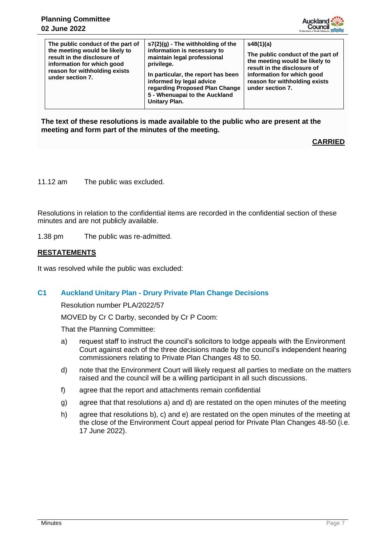

| The public conduct of the part of<br>the meeting would be likely to<br>result in the disclosure of<br>information for which good<br>reason for withholding exists<br>under section 7. | $s7(2)(g)$ - The withholding of the<br>information is necessary to<br>maintain legal professional<br>privilege.<br>In particular, the report has been<br>informed by legal advice<br>regarding Proposed Plan Change<br>5 - Whenuapai to the Auckland<br>Unitary Plan. | s48(1)(a)<br>The public conduct of the part of<br>the meeting would be likely to<br>result in the disclosure of<br>information for which good<br>reason for withholding exists<br>under section 7. |
|---------------------------------------------------------------------------------------------------------------------------------------------------------------------------------------|-----------------------------------------------------------------------------------------------------------------------------------------------------------------------------------------------------------------------------------------------------------------------|----------------------------------------------------------------------------------------------------------------------------------------------------------------------------------------------------|
|---------------------------------------------------------------------------------------------------------------------------------------------------------------------------------------|-----------------------------------------------------------------------------------------------------------------------------------------------------------------------------------------------------------------------------------------------------------------------|----------------------------------------------------------------------------------------------------------------------------------------------------------------------------------------------------|

**The text of these resolutions is made available to the public who are present at the meeting and form part of the minutes of the meeting.**

**CARRIED**

11.12 am The public was excluded.

Resolutions in relation to the confidential items are recorded in the confidential section of these minutes and are not publicly available.

1.38 pm The public was re-admitted.

#### **RESTATEMENTS**

It was resolved while the public was excluded:

# **C1 Auckland Unitary Plan - Drury Private Plan Change Decisions**

Resolution number PLA/2022/57

MOVED by Cr C Darby, seconded by Cr P Coom:

That the Planning Committee:

- a) request staff to instruct the council's solicitors to lodge appeals with the Environment Court against each of the three decisions made by the council's independent hearing commissioners relating to Private Plan Changes 48 to 50.
- d) note that the Environment Court will likely request all parties to mediate on the matters raised and the council will be a willing participant in all such discussions.
- f) agree that the report and attachments remain confidential
- g) agree that that resolutions a) and d) are restated on the open minutes of the meeting
- h) agree that resolutions b), c) and e) are restated on the open minutes of the meeting at the close of the Environment Court appeal period for Private Plan Changes 48-50 (i.e. 17 June 2022).